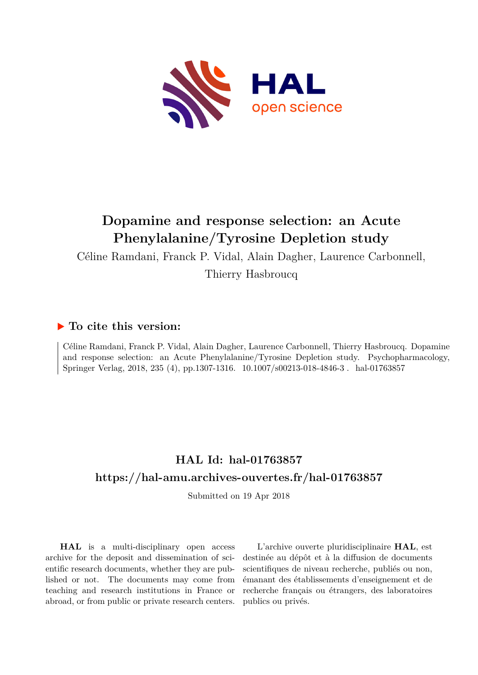

# **Dopamine and response selection: an Acute Phenylalanine/Tyrosine Depletion study**

Céline Ramdani, Franck P. Vidal, Alain Dagher, Laurence Carbonnell,

Thierry Hasbroucq

# **To cite this version:**

Céline Ramdani, Franck P. Vidal, Alain Dagher, Laurence Carbonnell, Thierry Hasbroucq. Dopamine and response selection: an Acute Phenylalanine/Tyrosine Depletion study. Psychopharmacology, Springer Verlag, 2018, 235 (4), pp.1307-1316.  $10.1007/s00213-018-4846-3$ . hal-01763857

# **HAL Id: hal-01763857 <https://hal-amu.archives-ouvertes.fr/hal-01763857>**

Submitted on 19 Apr 2018

**HAL** is a multi-disciplinary open access archive for the deposit and dissemination of scientific research documents, whether they are published or not. The documents may come from teaching and research institutions in France or abroad, or from public or private research centers.

L'archive ouverte pluridisciplinaire **HAL**, est destinée au dépôt et à la diffusion de documents scientifiques de niveau recherche, publiés ou non, émanant des établissements d'enseignement et de recherche français ou étrangers, des laboratoires publics ou privés.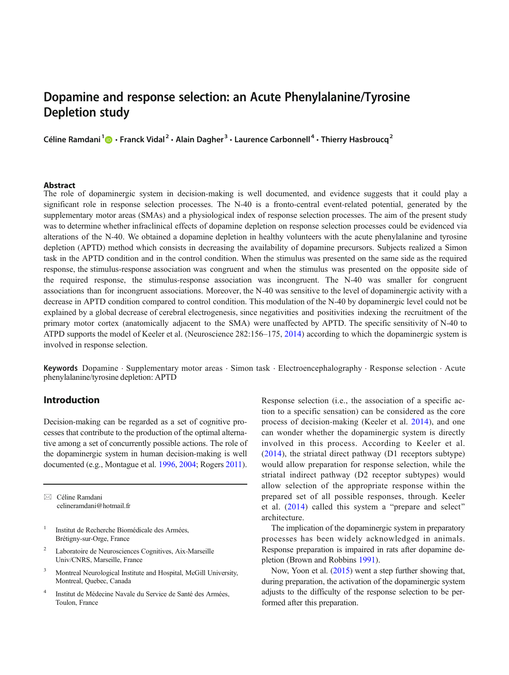# Dopamine and response selection: an Acute Phenylalanine/Tyrosine Depletion study

Céline Ramdani<sup>1</sup> • Franck Vidal<sup>2</sup> • Alain Dagher<sup>3</sup> • Laurence Carbonnell<sup>4</sup> • Thierry Hasbroucq<sup>2</sup>

#### Abstract

The role of dopaminergic system in decision-making is well documented, and evidence suggests that it could play a significant role in response selection processes. The N-40 is a fronto-central event-related potential, generated by the supplementary motor areas (SMAs) and a physiological index of response selection processes. The aim of the present study was to determine whether infraclinical effects of dopamine depletion on response selection processes could be evidenced via alterations of the N-40. We obtained a dopamine depletion in healthy volunteers with the acute phenylalanine and tyrosine depletion (APTD) method which consists in decreasing the availability of dopamine precursors. Subjects realized a Simon task in the APTD condition and in the control condition. When the stimulus was presented on the same side as the required response, the stimulus-response association was congruent and when the stimulus was presented on the opposite side of the required response, the stimulus-response association was incongruent. The N-40 was smaller for congruent associations than for incongruent associations. Moreover, the N-40 was sensitive to the level of dopaminergic activity with a decrease in APTD condition compared to control condition. This modulation of the N-40 by dopaminergic level could not be explained by a global decrease of cerebral electrogenesis, since negativities and positivities indexing the recruitment of the primary motor cortex (anatomically adjacent to the SMA) were unaffected by APTD. The specific sensitivity of N-40 to ATPD supports the model of Keeler et al. (Neuroscience 282:156–175, 2014) according to which the dopaminergic system is involved in response selection.

Keywords Dopamine . Supplementary motor areas . Simon task . Electroencephalography . Response selection . Acute phenylalanine/tyrosine depletion: APTD

## Introduction

Decision-making can be regarded as a set of cognitive processes that contribute to the production of the optimal alternative among a set of concurrently possible actions. The role of the dopaminergic system in human decision-making is well documented (e.g., Montague et al. 1996, 2004; Rogers 2011).

 $\boxtimes$  Céline Ramdani [celineramdani@hotmail.fr](mailto:celineramdani@hotmail.fr)

- <sup>1</sup> Institut de Recherche Biomédicale des Armées, Brétigny-sur-Orge, France
- <sup>2</sup> Laboratoire de Neurosciences Cognitives, Aix-Marseille Univ/CNRS, Marseille, France
- <sup>3</sup> Montreal Neurological Institute and Hospital, McGill University, Montreal, Quebec, Canada
- Institut de Médecine Navale du Service de Santé des Armées, Toulon, France

Response selection (i.e., the association of a specific action to a specific sensation) can be considered as the core process of decision-making (Keeler et al. 2014), and one can wonder whether the dopaminergic system is directly involved in this process. According to Keeler et al. (2014), the striatal direct pathway (D1 receptors subtype) would allow preparation for response selection, while the striatal indirect pathway (D2 receptor subtypes) would allow selection of the appropriate response within the prepared set of all possible responses, through. Keeler et al.  $(2014)$  called this system a "prepare and select" architecture.

The implication of the dopaminergic system in preparatory processes has been widely acknowledged in animals. Response preparation is impaired in rats after dopamine depletion (Brown and Robbins 1991).

Now, Yoon et al. (2015) went a step further showing that, during preparation, the activation of the dopaminergic system adjusts to the difficulty of the response selection to be performed after this preparation.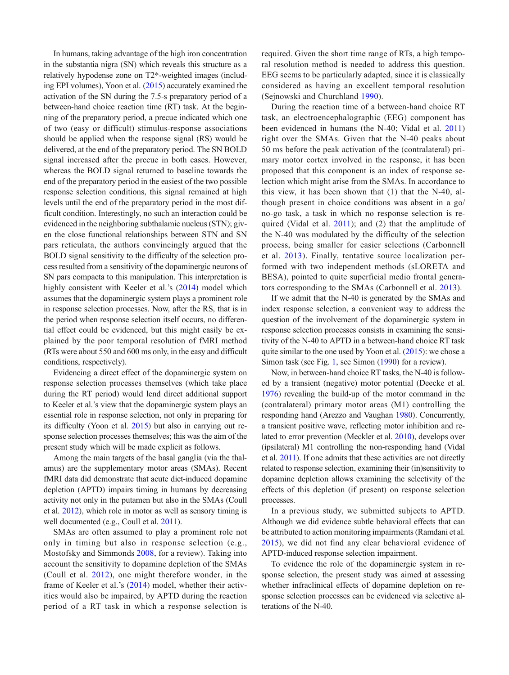In humans, taking advantage of the high iron concentration in the substantia nigra (SN) which reveals this structure as a relatively hypodense zone on T2\*-weighted images (including EPI volumes), Yoon et al. (2015) accurately examined the activation of the SN during the 7.5-s preparatory period of a between-hand choice reaction time (RT) task. At the beginning of the preparatory period, a precue indicated which one of two (easy or difficult) stimulus-response associations should be applied when the response signal (RS) would be delivered, at the end of the preparatory period. The SN BOLD signal increased after the precue in both cases. However, whereas the BOLD signal returned to baseline towards the end of the preparatory period in the easiest of the two possible response selection conditions, this signal remained at high levels until the end of the preparatory period in the most difficult condition. Interestingly, no such an interaction could be evidenced in the neighboring subthalamic nucleus (STN); given the close functional relationships between STN and SN pars reticulata, the authors convincingly argued that the BOLD signal sensitivity to the difficulty of the selection process resulted from a sensitivity of the dopaminergic neurons of SN pars compacta to this manipulation. This interpretation is highly consistent with Keeler et al.'s (2014) model which assumes that the dopaminergic system plays a prominent role in response selection processes. Now, after the RS, that is in the period when response selection itself occurs, no differential effect could be evidenced, but this might easily be explained by the poor temporal resolution of fMRI method (RTs were about 550 and 600 ms only, in the easy and difficult conditions, respectively).

Evidencing a direct effect of the dopaminergic system on response selection processes themselves (which take place during the RT period) would lend direct additional support to Keeler et al.'s view that the dopaminergic system plays an essential role in response selection, not only in preparing for its difficulty (Yoon et al. 2015) but also in carrying out response selection processes themselves; this was the aim of the present study which will be made explicit as follows.

Among the main targets of the basal ganglia (via the thalamus) are the supplementary motor areas (SMAs). Recent fMRI data did demonstrate that acute diet-induced dopamine depletion (APTD) impairs timing in humans by decreasing activity not only in the putamen but also in the SMAs (Coull et al. 2012), which role in motor as well as sensory timing is well documented (e.g., Coull et al. 2011).

SMAs are often assumed to play a prominent role not only in timing but also in response selection (e.g., Mostofsky and Simmonds 2008, for a review). Taking into account the sensitivity to dopamine depletion of the SMAs (Coull et al. 2012), one might therefore wonder, in the frame of Keeler et al.'s (2014) model, whether their activities would also be impaired, by APTD during the reaction period of a RT task in which a response selection is required. Given the short time range of RTs, a high temporal resolution method is needed to address this question. EEG seems to be particularly adapted, since it is classically considered as having an excellent temporal resolution (Sejnowski and Churchland 1990).

During the reaction time of a between-hand choice RT task, an electroencephalographic (EEG) component has been evidenced in humans (the N-40; Vidal et al. 2011) right over the SMAs. Given that the N-40 peaks about 50 ms before the peak activation of the (contralateral) primary motor cortex involved in the response, it has been proposed that this component is an index of response selection which might arise from the SMAs. In accordance to this view, it has been shown that (1) that the N-40, although present in choice conditions was absent in a go/ no-go task, a task in which no response selection is required (Vidal et al. 2011); and (2) that the amplitude of the N-40 was modulated by the difficulty of the selection process, being smaller for easier selections (Carbonnell et al. 2013). Finally, tentative source localization performed with two independent methods (sLORETA and BESA), pointed to quite superficial medio frontal generators corresponding to the SMAs (Carbonnell et al. 2013).

If we admit that the N-40 is generated by the SMAs and index response selection, a convenient way to address the question of the involvement of the dopaminergic system in response selection processes consists in examining the sensitivity of the N-40 to APTD in a between-hand choice RT task quite similar to the one used by Yoon et al. (2015): we chose a Simon task (see Fig. 1, see Simon (1990) for a review).

Now, in between-hand choice RT tasks, the N-40 is followed by a transient (negative) motor potential (Deecke et al. 1976) revealing the build-up of the motor command in the (contralateral) primary motor areas (M1) controlling the responding hand (Arezzo and Vaughan 1980). Concurrently, a transient positive wave, reflecting motor inhibition and related to error prevention (Meckler et al. 2010), develops over (ipsilateral) M1 controlling the non-responding hand (Vidal et al. 2011). If one admits that these activities are not directly related to response selection, examining their (in)sensitivity to dopamine depletion allows examining the selectivity of the effects of this depletion (if present) on response selection processes.

In a previous study, we submitted subjects to APTD. Although we did evidence subtle behavioral effects that can be attributed to action monitoring impairments (Ramdani et al. 2015), we did not find any clear behavioral evidence of APTD-induced response selection impairment.

To evidence the role of the dopaminergic system in response selection, the present study was aimed at assessing whether infraclinical effects of dopamine depletion on response selection processes can be evidenced via selective alterations of the N-40.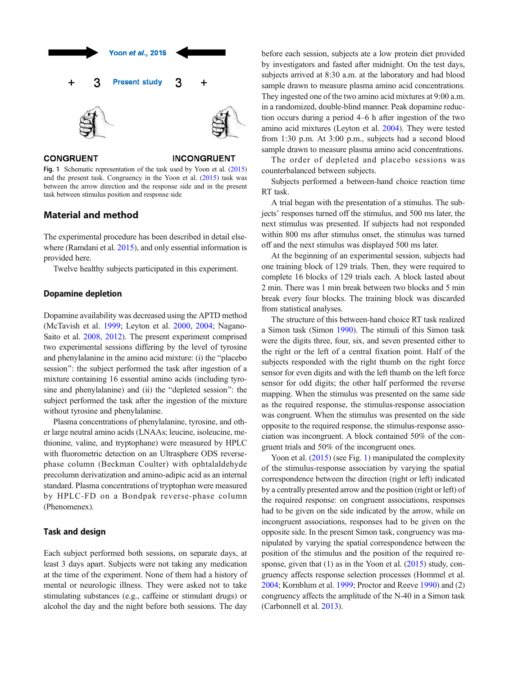

#### **CONGRUENT INCONGRUENT** Fig. 1 Schematic representation of the task used by Yoon et al. (2015) and the present task. Congruency in the Yoon et al. (2015) task was between the arrow direction and the response side and in the present task between stimulus position and response side

### Material and method

The experimental procedure has been described in detail elsewhere (Ramdani et al. 2015), and only essential information is provided here.

Twelve healthy subjects participated in this experiment.

#### Dopamine depletion

Dopamine availability was decreased using the APTD method (McTavish et al. 1999; Leyton et al. 2000, 2004; Nagano-Saito et al. 2008, 2012). The present experiment comprised two experimental sessions differing by the level of tyrosine and phenylalanine in the amino acid mixture:  $(i)$  the "placebo" session": the subject performed the task after ingestion of a mixture containing 16 essential amino acids (including tyrosine and phenylalanine) and (ii) the "depleted session": the subject performed the task after the ingestion of the mixture without tyrosine and phenylalanine.

Plasma concentrations of phenylalanine, tyrosine, and other large neutral amino acids (LNAAs; leucine, isoleucine, methionine, valine, and tryptophane) were measured by HPLC with fluorometric detection on an Ultrasphere ODS reversephase column (Beckman Coulter) with ophtalaldehyde precolumn derivatization and amino-adipic acid as an internal standard. Plasma concentrations of tryptophan were measured by HPLC-FD on a Bondpak reverse-phase column (Phenomenex).

#### Task and design

Each subject performed both sessions, on separate days, at least 3 days apart. Subjects were not taking any medication at the time of the experiment. None of them had a history of mental or neurologic illness. They were asked not to take stimulating substances (e.g., caffeine or stimulant drugs) or alcohol the day and the night before both sessions. The day

before each session, subjects ate a low protein diet provided by investigators and fasted after midnight. On the test days, subjects arrived at 8:30 a.m. at the laboratory and had blood sample drawn to measure plasma amino acid concentrations. They ingested one of the two amino acid mixtures at 9:00 a.m. in a randomized, double-blind manner. Peak dopamine reduction occurs during a period 4–6 h after ingestion of the two amino acid mixtures (Leyton et al. 2004). They were tested from 1:30 p.m. At 3:00 p.m., subjects had a second blood sample drawn to measure plasma amino acid concentrations.

The order of depleted and placebo sessions was counterbalanced between subjects.

Subjects performed a between-hand choice reaction time RT task.

A trial began with the presentation of a stimulus. The subjects' responses turned off the stimulus, and 500 ms later, the next stimulus was presented. If subjects had not responded within 800 ms after stimulus onset, the stimulus was turned off and the next stimulus was displayed 500 ms later.

At the beginning of an experimental session, subjects had one training block of 129 trials. Then, they were required to complete 16 blocks of 129 trials each. A block lasted about 2 min. There was 1 min break between two blocks and 5 min break every four blocks. The training block was discarded from statistical analyses.

The structure of this between-hand choice RT task realized a Simon task (Simon 1990). The stimuli of this Simon task were the digits three, four, six, and seven presented either to the right or the left of a central fixation point. Half of the subjects responded with the right thumb on the right force sensor for even digits and with the left thumb on the left force sensor for odd digits; the other half performed the reverse mapping. When the stimulus was presented on the same side as the required response, the stimulus-response association was congruent. When the stimulus was presented on the side opposite to the required response, the stimulus-response association was incongruent. A block contained 50% of the congruent trials and 50% of the incongruent ones.

Yoon et al. (2015) (see Fig. 1) manipulated the complexity of the stimulus-response association by varying the spatial correspondence between the direction (right or left) indicated by a centrally presented arrow and the position (right or left) of the required response: on congruent associations, responses had to be given on the side indicated by the arrow, while on incongruent associations, responses had to be given on the opposite side. In the present Simon task, congruency was manipulated by varying the spatial correspondence between the position of the stimulus and the position of the required response, given that  $(1)$  as in the Yoon et al.  $(2015)$  study, congruency affects response selection processes (Hommel et al. 2004; Kornblum et al. 1999; Proctor and Reeve 1990) and (2) congruency affects the amplitude of the N-40 in a Simon task (Carbonnell et al. 2013).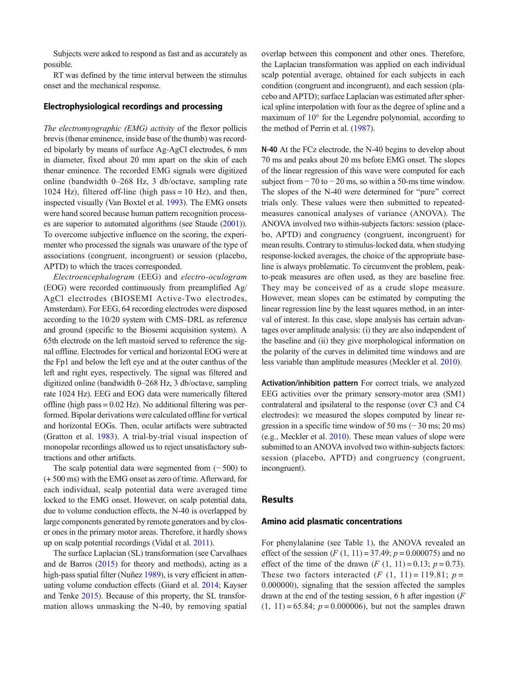Subjects were asked to respond as fast and as accurately as possible.

RT was defined by the time interval between the stimulus onset and the mechanical response.

#### Electrophysiological recordings and processing

The electromyographic (EMG) activity of the flexor pollicis brevis (thenar eminence, inside base of the thumb) was recorded bipolarly by means of surface Ag-AgCl electrodes, 6 mm in diameter, fixed about 20 mm apart on the skin of each thenar eminence. The recorded EMG signals were digitized online (bandwidth 0–268 Hz, 3 db/octave, sampling rate 1024 Hz), filtered off-line (high pass = 10 Hz), and then, inspected visually (Van Boxtel et al. 1993). The EMG onsets were hand scored because human pattern recognition processes are superior to automated algorithms (see Staude (2001)). To overcome subjective influence on the scoring, the experimenter who processed the signals was unaware of the type of associations (congruent, incongruent) or session (placebo, APTD) to which the traces corresponded.

Electroencephalogram (EEG) and electro-oculogram (EOG) were recorded continuously from preamplified Ag/ AgCl electrodes (BIOSEMI Active-Two electrodes, Amsterdam). For EEG, 64 recording electrodes were disposed according to the 10/20 system with CMS–DRL as reference and ground (specific to the Biosemi acquisition system). A 65th electrode on the left mastoid served to reference the signal offline. Electrodes for vertical and horizontal EOG were at the Fp1 and below the left eye and at the outer canthus of the left and right eyes, respectively. The signal was filtered and digitized online (bandwidth 0–268 Hz, 3 db/octave, sampling rate 1024 Hz). EEG and EOG data were numerically filtered offline (high pass  $= 0.02$  Hz). No additional filtering was performed. Bipolar derivations were calculated offline for vertical and horizontal EOGs. Then, ocular artifacts were subtracted (Gratton et al. 1983). A trial-by-trial visual inspection of monopolar recordings allowed us to reject unsatisfactory subtractions and other artifacts.

The scalp potential data were segmented from  $(-500)$  to (+ 500 ms) with the EMG onset as zero of time. Afterward, for each individual, scalp potential data were averaged time locked to the EMG onset. However, on scalp potential data, due to volume conduction effects, the N-40 is overlapped by large components generated by remote generators and by closer ones in the primary motor areas. Therefore, it hardly shows up on scalp potential recordings (Vidal et al. 2011).

The surface Laplacian (SL) transformation (see Carvalhaes and de Barros (2015) for theory and methods), acting as a high-pass spatial filter (Nuñez 1989), is very efficient in attenuating volume conduction effects (Giard et al. 2014; Kayser and Tenke 2015). Because of this property, the SL transformation allows unmasking the N-40, by removing spatial overlap between this component and other ones. Therefore, the Laplacian transformation was applied on each individual scalp potential average, obtained for each subjects in each condition (congruent and incongruent), and each session (placebo and APTD); surface Laplacian was estimated after spherical spline interpolation with four as the degree of spline and a maximum of 10° for the Legendre polynomial, according to the method of Perrin et al. (1987).

N-40 At the FCz electrode, the N-40 begins to develop about 70 ms and peaks about 20 ms before EMG onset. The slopes of the linear regression of this wave were computed for each subject from  $-70$  to  $-20$  ms, so within a 50-ms time window. The slopes of the N-40 were determined for "pure" correct trials only. These values were then submitted to repeatedmeasures canonical analyses of variance (ANOVA). The ANOVA involved two within-subjects factors: session (placebo, APTD) and congruency (congruent, incongruent) for mean results. Contrary to stimulus-locked data, when studying response-locked averages, the choice of the appropriate baseline is always problematic. To circumvent the problem, peakto-peak measures are often used, as they are baseline free. They may be conceived of as a crude slope measure. However, mean slopes can be estimated by computing the linear regression line by the least squares method, in an interval of interest. In this case, slope analysis has certain advantages over amplitude analysis: (i) they are also independent of the baseline and (ii) they give morphological information on the polarity of the curves in delimited time windows and are less variable than amplitude measures (Meckler et al. 2010).

Activation/inhibition pattern For correct trials, we analyzed EEG activities over the primary sensory-motor area (SM1) contralateral and ipsilateral to the response (over C3 and C4 electrodes): we measured the slopes computed by linear regression in a specific time window of 50 ms  $(-30 \text{ ms}; 20 \text{ ms})$ (e.g., Meckler et al. 2010). These mean values of slope were submitted to an ANOVA involved two within-subjects factors: session (placebo, APTD) and congruency (congruent, incongruent).

#### Results

#### Amino acid plasmatic concentrations

For phenylalanine (see Table 1), the ANOVA revealed an effect of the session  $(F (1, 11) = 37.49; p = 0.000075)$  and no effect of the time of the drawn  $(F (1, 11) = 0.13; p = 0.73)$ . These two factors interacted  $(F (1, 11) = 119.81; p =$ 0.000000), signaling that the session affected the samples drawn at the end of the testing session, 6 h after ingestion  $(F)$  $(1, 11) = 65.84$ ;  $p = 0.000006$ , but not the samples drawn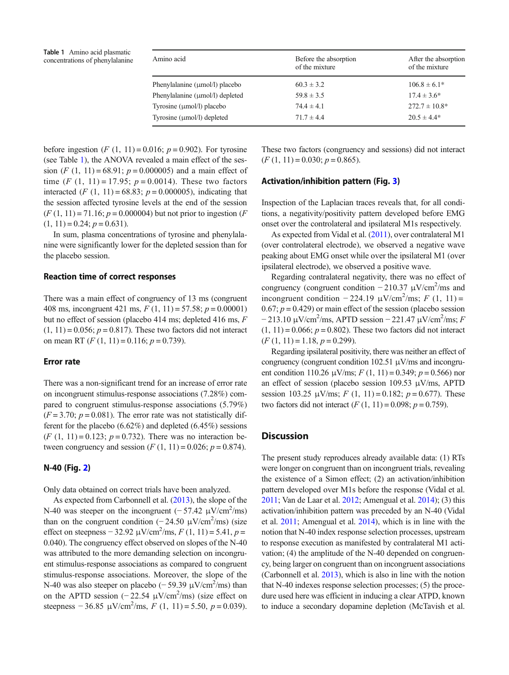Table 1 Amino acid plasmatic concentrations of phenylalanine  $\overline{A}$ 

| Amino acid                           | Before the absorption<br>of the mixture | After the absorption<br>of the mixture |
|--------------------------------------|-----------------------------------------|----------------------------------------|
| Phenylalanine (umol/l) placebo       | $60.3 \pm 3.2$                          | $106.8 \pm 6.1*$                       |
| Phenylalanine $(\mu$ mol/l) depleted | $59.8 \pm 3.5$                          | $17.4 \pm 3.6^*$                       |
| Tyrosine $(\mu$ mol/l) placebo       | $74.4 \pm 4.1$                          | $272.7 \pm 10.8^*$                     |
| Tyrosine $(\mu$ mol/l) depleted      | $71.7 \pm 4.4$                          | $20.5 \pm 4.4*$                        |

before ingestion  $(F (1, 11) = 0.016; p = 0.902)$ . For tyrosine (see Table 1), the ANOVA revealed a main effect of the session  $(F (1, 11) = 68.91; p = 0.000005)$  and a main effect of time  $(F (1, 11) = 17.95; p = 0.0014)$ . These two factors interacted (F (1, 11) = 68.83;  $p = 0.000005$ ), indicating that the session affected tyrosine levels at the end of the session  $(F (1, 11) = 71.16; p = 0.000004)$  but not prior to ingestion (F)  $(1, 11) = 0.24$ ;  $p = 0.631$ ).

In sum, plasma concentrations of tyrosine and phenylalanine were significantly lower for the depleted session than for the placebo session.

#### Reaction time of correct responses

There was a main effect of congruency of 13 ms (congruent 408 ms, incongruent 421 ms,  $F(1, 11) = 57.58$ ;  $p = 0.00001$ ) but no effect of session (placebo 414 ms; depleted 416 ms, F  $(1, 11) = 0.056$ ;  $p = 0.817$ ). These two factors did not interact on mean RT  $(F (1, 11) = 0.116; p = 0.739)$ .

#### Error rate

There was a non-significant trend for an increase of error rate on incongruent stimulus-response associations (7.28%) compared to congruent stimulus-response associations (5.79%)  $(F = 3.70; p = 0.081)$ . The error rate was not statistically different for the placebo (6.62%) and depleted (6.45%) sessions  $(F (1, 11) = 0.123; p = 0.732)$ . There was no interaction between congruency and session  $(F (1, 11) = 0.026; p = 0.874)$ .

### N-40 (Fig. 2)

Only data obtained on correct trials have been analyzed.

As expected from Carbonnell et al. (2013), the slope of the N-40 was steeper on the incongruent  $(-57.42 \text{ }\mu\text{V/cm}^2/\text{ms})$ than on the congruent condition  $(-24.50 \text{ }\mu\text{V/cm}^2/\text{ms})$  (size effect on steepness – 32.92  $\mu$ V/cm<sup>2</sup>/ms,  $F(1, 11) = 5.41$ ,  $p = 0.040$ ). The congruency effect observed on slopes of the N.40 0.040). The congruency effect observed on slopes of the N-40 was attributed to the more demanding selection on incongruent stimulus-response associations as compared to congruent stimulus-response associations. Moreover, the slope of the N-40 was also steeper on placebo  $(-59.39 \text{ }\mu\text{V/cm}^2/\text{ms})$  than on the APTD session  $(-22.54 \text{ }\mu\text{V/cm}^2/\text{ms})$  (size effect on steepness – 36.85 µV/cm<sup>2</sup>/ms,  $F(1, 11) = 5.50, p = 0.039$ .

These two factors (congruency and sessions) did not interact  $(F (1, 11) = 0.030; p = 0.865).$ 

#### Activation/inhibition pattern (Fig. 3)

Inspection of the Laplacian traces reveals that, for all conditions, a negativity/positivity pattern developed before EMG onset over the controlateral and ipsilateral M1s respectively.

As expected from Vidal et al. (2011), over contralateral M1 (over controlateral electrode), we observed a negative wave peaking about EMG onset while over the ipsilateral M1 (over ipsilateral electrode), we observed a positive wave.

Regarding contralateral negativity, there was no effect of congruency (congruent condition  $-210.37 \mu V/cm^2/ms$  and incongruent condition  $-224.19 \mu \text{V/cm}^2/\text{ms}$ ;  $F(1, 11) =$ <br>0.67; n = 0.429) or main effect of the session (placebo session  $0.67$ ;  $p = 0.429$ ) or main effect of the session (placebo session  $-213.10 \mu V/cm^2/ms$ , APTD session  $-221.47 \mu V/cm^2/ms$ ; F<br>(1, 11) – 0.066; n – 0.802). These two factors did not interact  $(1, 11) = 0.066$ ;  $p = 0.802$ ). These two factors did not interact  $(F (1, 11) = 1.18, p = 0.299).$ 

Regarding ipsilateral positivity, there was neither an effect of congruency (congruent condition 102.51  $\mu$ V/ms and incongruent condition 110.26  $\mu$ V/ms;  $F(1, 11) = 0.349$ ;  $p = 0.566$ ) nor an effect of session (placebo session 109.53 μV/ms, APTD session 103.25  $\mu$ V/ms; F (1, 11) = 0.182; p = 0.677). These two factors did not interact  $(F (1, 11) = 0.098; p = 0.759)$ .

## **Discussion**

The present study reproduces already available data: (1) RTs were longer on congruent than on incongruent trials, revealing the existence of a Simon effect; (2) an activation/inhibition pattern developed over M1s before the response (Vidal et al. 2011; Van de Laar et al. 2012; Amengual et al. 2014); (3) this activation/inhibition pattern was preceded by an N-40 (Vidal et al. 2011; Amengual et al. 2014), which is in line with the notion that N-40 index response selection processes, upstream to response execution as manifested by contralateral M1 activation; (4) the amplitude of the N-40 depended on congruency, being larger on congruent than on incongruent associations (Carbonnell et al. 2013), which is also in line with the notion that N-40 indexes response selection processes; (5) the procedure used here was efficient in inducing a clear ATPD, known to induce a secondary dopamine depletion (McTavish et al.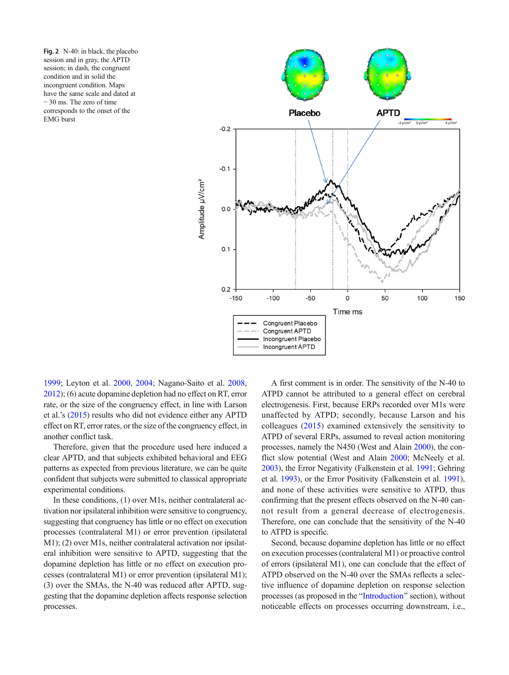Fig. 2 N-40: in black, the placebo session and in gray, the APTD session; in dash, the congruent condition and in solid the incongruent condition. Maps have the same scale and dated at − 30 ms. The zero of time corresponds to the onset of the EMG burst



1999; Leyton et al. 2000, 2004; Nagano-Saito et al. 2008, 2012); (6) acute dopamine depletion had no effect on RT, error rate, or the size of the congruency effect, in line with Larson et al.'s (2015) results who did not evidence either any APTD effect on RT, error rates, or the size of the congruency effect, in another conflict task.

Therefore, given that the procedure used here induced a clear APTD, and that subjects exhibited behavioral and EEG patterns as expected from previous literature, we can be quite confident that subjects were submitted to classical appropriate experimental conditions.

In these conditions, (1) over M1s, neither contralateral activation nor ipsilateral inhibition were sensitive to congruency, suggesting that congruency has little or no effect on execution processes (contralateral M1) or error prevention (ipsilateral M1); (2) over M1s, neither contralateral activation nor ipsilateral inhibition were sensitive to APTD, suggesting that the dopamine depletion has little or no effect on execution processes (contralateral M1) or error prevention (ipsilateral M1); (3) over the SMAs, the N-40 was reduced after APTD, suggesting that the dopamine depletion affects response selection processes.

A first comment is in order. The sensitivity of the N-40 to ATPD cannot be attributed to a general effect on cerebral electrogenesis. First, because ERPs recorded over M1s were unaffected by ATPD; secondly, because Larson and his colleagues (2015) examined extensively the sensitivity to ATPD of several ERPs, assumed to reveal action monitoring processes, namely the N450 (West and Alain 2000), the conflict slow potential (West and Alain 2000; McNeely et al. 2003), the Error Negativity (Falkenstein et al. 1991; Gehring et al. 1993), or the Error Positivity (Falkenstein et al. 1991), and none of these activities were sensitive to ATPD, thus confirming that the present effects observed on the N-40 cannot result from a general decrease of electrogenesis. Therefore, one can conclude that the sensitivity of the N-40 to ATPD is specific.

Second, because dopamine depletion has little or no effect on execution processes (contralateral M1) or proactive control of errors (ipsilateral M1), one can conclude that the effect of ATPD observed on the N-40 over the SMAs reflects a selective influence of dopamine depletion on response selection processes (as proposed in the "Introduction" section), without noticeable effects on processes occurring downstream, i.e.,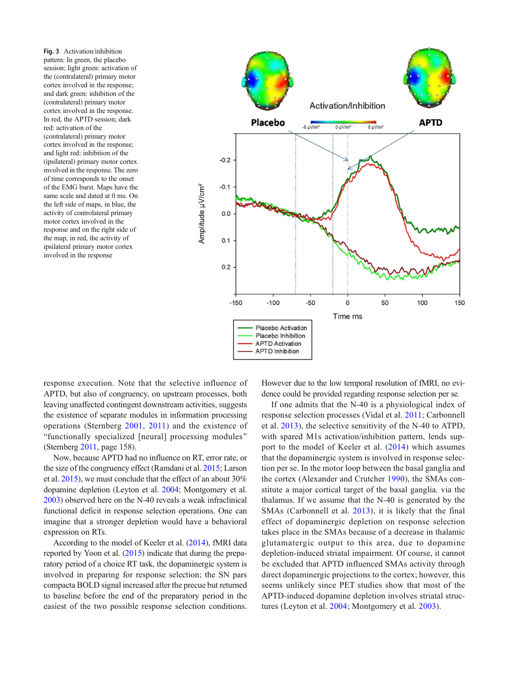Fig. 3 Activation/inhibition pattern: In green, the placebo session; light green: activation of the (contralateral) primary motor cortex involved in the response; and dark green: inhibition of the (contralateral) primary motor cortex involved in the response. In red, the APTD session; dark red: activation of the (contralateral) primary motor cortex involved in the response; and light red: inhibition of the (ipsilateral) primary motor cortex involved in the response. The zero of time corresponds to the onset of the EMG burst. Maps have the same scale and dated at 0 ms. On the left side of maps, in blue, the activity of controlateral primary motor cortex involved in the response and on the right side of the map, in red, the activity of ipsilateral primary motor cortex involved in the response



response execution. Note that the selective influence of APTD, but also of congruency, on upstream processes, both leaving unaffected contingent downstream activities, suggests the existence of separate modules in information processing operations (Sternberg 2001, 2011) and the existence of "functionally specialized [neural] processing modules" (Sternberg 2011, page 158).

Now, because APTD had no influence on RT, error rate, or the size of the congruency effect (Ramdani et al. 2015; Larson et al. 2015), we must conclude that the effect of an about 30% dopamine depletion (Leyton et al. 2004; Montgomery et al. 2003) observed here on the N-40 reveals a weak infraclinical functional deficit in response selection operations. One can imagine that a stronger depletion would have a behavioral expression on RTs.

According to the model of Keeler et al. (2014), fMRI data reported by Yoon et al. (2015) indicate that during the preparatory period of a choice RT task, the dopaminergic system is involved in preparing for response selection; the SN pars compacta BOLD signal increased after the precue but returned to baseline before the end of the preparatory period in the easiest of the two possible response selection conditions. However due to the low temporal resolution of fMRI, no evidence could be provided regarding response selection per se.

If one admits that the N-40 is a physiological index of response selection processes (Vidal et al. 2011; Carbonnell et al. 2013), the selective sensitivity of the N-40 to ATPD, with spared M1s activation/inhibition pattern, lends support to the model of Keeler et al. (2014) which assumes that the dopaminergic system is involved in response selection per se. In the motor loop between the basal ganglia and the cortex (Alexander and Crutcher 1990), the SMAs constitute a major cortical target of the basal ganglia, via the thalamus. If we assume that the N-40 is generated by the SMAs (Carbonnell et al. 2013), it is likely that the final effect of dopaminergic depletion on response selection takes place in the SMAs because of a decrease in thalamic glutamatergic output to this area, due to dopamine depletion-induced striatal impairment. Of course, it cannot be excluded that APTD influenced SMAs activity through direct dopaminergic projections to the cortex; however, this seems unlikely since PET studies show that most of the APTD-induced dopamine depletion involves striatal structures (Leyton et al. 2004; Montgomery et al. 2003).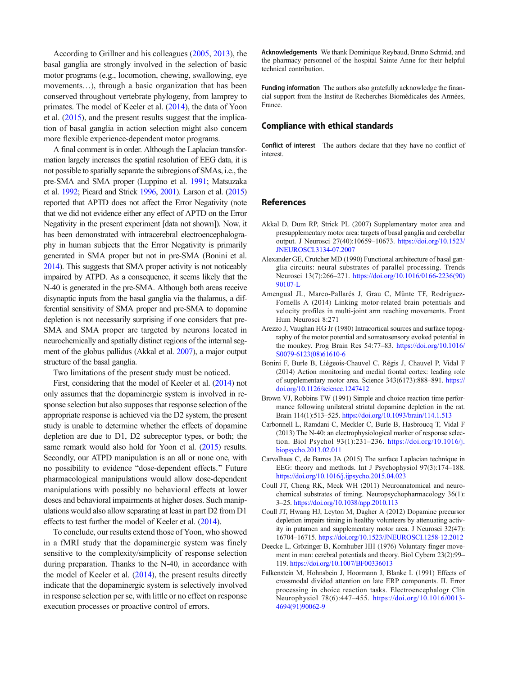According to Grillner and his colleagues (2005, 2013), the basal ganglia are strongly involved in the selection of basic motor programs (e.g., locomotion, chewing, swallowing, eye movements…), through a basic organization that has been conserved throughout vertebrate phylogeny, from lamprey to primates. The model of Keeler et al. (2014), the data of Yoon et al. (2015), and the present results suggest that the implication of basal ganglia in action selection might also concern more flexible experience-dependent motor programs.

A final comment is in order. Although the Laplacian transformation largely increases the spatial resolution of EEG data, it is not possible to spatially separate the subregions of SMAs, i.e., the pre-SMA and SMA proper (Luppino et al. 1991; Matsuzaka et al. 1992; Picard and Strick 1996, 2001). Larson et al. (2015) reported that APTD does not affect the Error Negativity (note that we did not evidence either any effect of APTD on the Error Negativity in the present experiment [data not shown]). Now, it has been demonstrated with intracerebral electroencephalography in human subjects that the Error Negativity is primarily generated in SMA proper but not in pre-SMA (Bonini et al. 2014). This suggests that SMA proper activity is not noticeably impaired by ATPD. As a consequence, it seems likely that the N-40 is generated in the pre-SMA. Although both areas receive disynaptic inputs from the basal ganglia via the thalamus, a differential sensitivity of SMA proper and pre-SMA to dopamine depletion is not necessarily surprising if one considers that pre-SMA and SMA proper are targeted by neurons located in neurochemically and spatially distinct regions of the internal segment of the globus pallidus (Akkal et al. 2007), a major output structure of the basal ganglia.

Two limitations of the present study must be noticed.

First, considering that the model of Keeler et al. (2014) not only assumes that the dopaminergic system is involved in response selection but also supposes that response selection of the appropriate response is achieved via the D2 system, the present study is unable to determine whether the effects of dopamine depletion are due to D1, D2 subreceptor types, or both; the same remark would also hold for Yoon et al. (2015) results. Secondly, our ATPD manipulation is an all or none one, with no possibility to evidence "dose-dependent effects." Future pharmacological manipulations would allow dose-dependent manipulations with possibly no behavioral effects at lower doses and behavioral impairments at higher doses. Such manipulations would also allow separating at least in part D2 from D1 effects to test further the model of Keeler et al. (2014).

To conclude, our results extend those of Yoon, who showed in a fMRI study that the dopaminergic system was finely sensitive to the complexity/simplicity of response selection during preparation. Thanks to the N-40, in accordance with the model of Keeler et al. (2014), the present results directly indicate that the dopaminergic system is selectively involved in response selection per se, with little or no effect on response execution processes or proactive control of errors.

Acknowledgements We thank Dominique Reybaud, Bruno Schmid, and the pharmacy personnel of the hospital Sainte Anne for their helpful technical contribution.

Funding information The authors also gratefully acknowledge the financial support from the Institut de Recherches Biomédicales des Armées, France.

#### Compliance with ethical standards

Conflict of interest The authors declare that they have no conflict of interest.

#### References

- Akkal D, Dum RP, Strick PL (2007) Supplementary motor area and presupplementary motor area: targets of basal ganglia and cerebellar output. J Neurosci 27(40):10659–10673. [https://doi.org/10.1523/](https://doi.org/10.1523/JNEUROSCI.3134-07.2007) [JNEUROSCI.3134-07.2007](https://doi.org/10.1523/JNEUROSCI.3134-07.2007)
- Alexander GE, Crutcher MD (1990) Functional architecture of basal ganglia circuits: neural substrates of parallel processing. Trends Neurosci 13(7):266–271. [https://doi.org/10.1016/0166-2236\(90\)](https://doi.org/10.1016/0166-2236(90)90107-L) [90107-L](https://doi.org/10.1016/0166-2236(90)90107-L)
- Amengual JL, Marco-Pallarés J, Grau C, Münte TF, Rodríguez-Fornells A (2014) Linking motor-related brain potentials and velocity profiles in multi-joint arm reaching movements. Front Hum Neurosci 8:271
- Arezzo J, Vaughan HG Jr (1980) Intracortical sources and surface topography of the motor potential and somatosensory evoked potential in the monkey. Prog Brain Res 54:77–83. [https://doi.org/10.1016/](https://doi.org/10.1016/S0079-6123(08)61610-6) [S0079-6123\(08\)61610-6](https://doi.org/10.1016/S0079-6123(08)61610-6)
- Bonini F, Burle B, Liégeois-Chauvel C, Régis J, Chauvel P, Vidal F (2014) Action monitoring and medial frontal cortex: leading role of supplementary motor area. Science 343(6173):888–891. [https://](https://doi.org/10.1126/science.1247412) [doi.org/10.1126/science.1247412](https://doi.org/10.1126/science.1247412)
- Brown VJ, Robbins TW (1991) Simple and choice reaction time performance following unilateral striatal dopamine depletion in the rat. Brain 114(1):513–525. <https://doi.org/10.1093/brain/114.1.513>
- Carbonnell L, Ramdani C, Meckler C, Burle B, Hasbroucq T, Vidal F (2013) The N-40: an electrophysiological marker of response selection. Biol Psychol 93(1):231–236. [https://doi.org/10.1016/j.](https://doi.org/10.1016/j.biopsycho.2013.02.011) [biopsycho.2013.02.011](https://doi.org/10.1016/j.biopsycho.2013.02.011)
- Carvalhaes C, de Barros JA (2015) The surface Laplacian technique in EEG: theory and methods. Int J Psychophysiol 97(3):174–188. <https://doi.org/10.1016/j.ijpsycho.2015.04.023>
- Coull JT, Cheng RK, Meck WH (2011) Neuroanatomical and neurochemical substrates of timing. Neuropsychopharmacology 36(1): 3–25. <https://doi.org/10.1038/npp.2010.113>
- Coull JT, Hwang HJ, Leyton M, Dagher A (2012) Dopamine precursor depletion impairs timing in healthy volunteers by attenuating activity in putamen and supplementary motor area. J Neurosci 32(47): 16704–16715. <https://doi.org/10.1523/JNEUROSCI.1258-12.2012>
- Deecke L, Grözinger B, Kornhuber HH (1976) Voluntary finger movement in man: cerebral potentials and theory. Biol Cybern 23(2):99– 119. <https://doi.org/10.1007/BF00336013>
- Falkenstein M, Hohnsbein J, Hoormann J, Blanke L (1991) Effects of crossmodal divided attention on late ERP components. II. Error processing in choice reaction tasks. Electroencephalogr Clin Neurophysiol 78(6):447–455. [https://doi.org/10.1016/0013-](https://doi.org/10.1016/0013-4694(91)90062-9) [4694\(91\)90062-9](https://doi.org/10.1016/0013-4694(91)90062-9)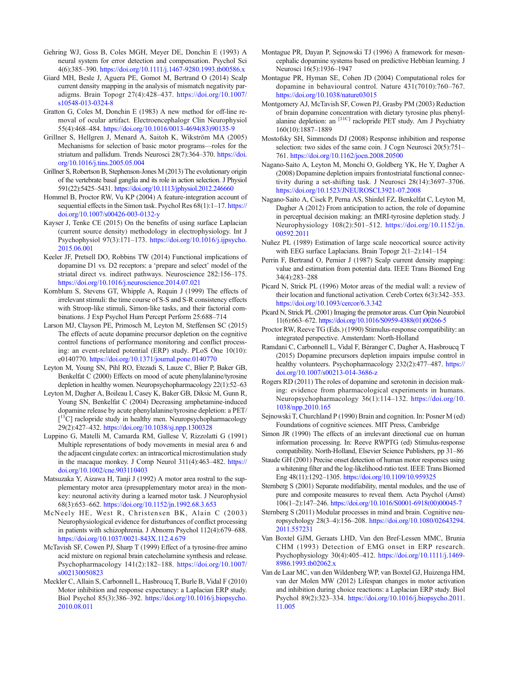- Gehring WJ, Goss B, Coles MGH, Meyer DE, Donchin E (1993) A neural system for error detection and compensation. Psychol Sci 4(6):385–390. <https://doi.org/10.1111/j.1467-9280.1993.tb00586.x>
- Giard MH, Besle J, Aguera PE, Gomot M, Bertrand O (2014) Scalp current density mapping in the analysis of mismatch negativity paradigms. Brain Topogr 27(4):428–437. [https://doi.org/10.1007/](https://doi.org/10.1007/s10548-013-0324-8) [s10548-013-0324-8](https://doi.org/10.1007/s10548-013-0324-8)
- Gratton G, Coles M, Donchin E (1983) A new method for off-line removal of ocular artifact. Electroencephalogr Clin Neurophysiol 55(4):468–484. [https://doi.org/10.1016/0013-4694\(83\)90135-9](https://doi.org/10.1016/0013-4694(83)90135-9)
- Grillner S, Hellgren J, Menard A, Saitoh K, Wikström MA (2005) Mechanisms for selection of basic motor programs—roles for the striatum and pallidum. Trends Neurosci 28(7):364–370. [https://doi.](https://doi.org/10.1016/j.tins.2005.05.004) [org/10.1016/j.tins.2005.05.004](https://doi.org/10.1016/j.tins.2005.05.004)
- Grillner S, Robertson B, Stephenson-Jones M (2013) The evolutionary origin of the vertebrate basal ganglia and its role in action selection. J Physiol 591(22):5425–5431. <https://doi.org/10.1113/jphysiol.2012.246660>
- Hommel B, Proctor RW, Vu KP (2004) A feature-integration account of sequential effects in the Simon task. Psychol Res 68(1):1–17. [https://](https://doi.org/10.1007/s00426-003-0132-y) [doi.org/10.1007/s00426-003-0132-y](https://doi.org/10.1007/s00426-003-0132-y)
- Kayser J, Tenke CE (2015) On the benefits of using surface Laplacian (current source density) methodology in electrophysiology. Int J Psychophysiol 97(3):171–173. [https://doi.org/10.1016/j.ijpsycho.](https://doi.org/10.1016/j.ijpsycho.2015.06.001) [2015.06.001](https://doi.org/10.1016/j.ijpsycho.2015.06.001)
- Keeler JF, Pretsell DO, Robbins TW (2014) Functional implications of dopamine D1 vs. D2 receptors: a 'prepare and select' model of the striatal direct vs. indirect pathways. Neuroscience 282:156–175. <https://doi.org/10.1016/j.neuroscience.2014.07.021>
- Kornblum S, Stevens GT, Whipple A, Requin J (1999) The effects of irrelevant stimuli: the time course of S-S and S-R consistency effects with Stroop-like stimuli, Simon-like tasks, and their factorial combinations. J Exp Psychol Hum Percept Perform 25:688–714
- Larson MJ, Clayson PE, Primosch M, Leyton M, Steffensen SC (2015) The effects of acute dopamine precursor depletion on the cognitive control functions of performance monitoring and conflict processing: an event-related potential (ERP) study. PLoS One 10(10): e0140770. <https://doi.org/10.1371/journal.pone.0140770>
- Leyton M, Young SN, Pihl RO, Etezadi S, Lauze C, Blier P, Baker GB, Benkelfat C (2000) Effects on mood of acute phenylalanine/tyrosine depletion in healthy women. Neuropsychopharmacology 22(1):52–63
- Leyton M, Dagher A, Boileau I, Casey K, Baker GB, Diksic M, Gunn R, Young SN, Benkelfat C (2004) Decreasing amphetamine-induced dopamine release by acute phenylalanine/tyrosine depletion: a PET/ [<sup>11</sup>C] raclopride study in healthy men. Neuropsychopharmacology 29(2):427–432. <https://doi.org/10.1038/sj.npp.1300328>
- Luppino G, Matelli M, Camarda RM, Gallese V, Rizzolatti G (1991) Multiple representations of body movements in mesial area 6 and the adjacent cingulate cortex: an intracortical microstimulation study in the macaque monkey. J Comp Neurol 311(4):463–482. [https://](https://doi.org/10.1002/cne.903110403) [doi.org/10.1002/cne.903110403](https://doi.org/10.1002/cne.903110403)
- Matsuzaka Y, Aizawa H, Tanji J (1992) A motor area rostral to the supplementary motor area (presupplementary motor area) in the monkey: neuronal activity during a learned motor task. J Neurophysiol 68(3):653–662. <https://doi.org/10.1152/jn.1992.68.3.653>
- McNeely HE, West R, Christensen BK, Alain C (2003 ) Neurophysiological evidence for disturbances of conflict processing in patients with schizophrenia. J Abnorm Psychol 112(4):679–688. <https://doi.org/10.1037/0021-843X.112.4.679>
- McTavish SF, Cowen PJ, Sharp T (1999) Effect of a tyrosine-free amino acid mixture on regional brain catecholamine synthesis and release. Psychopharmacology 141(2):182–188. [https://doi.org/10.1007/](https://doi.org/10.1007/s002130050823) [s002130050823](https://doi.org/10.1007/s002130050823)
- Meckler C, Allain S, Carbonnell L, Hasbroucq T, Burle B, Vidal F (2010) Motor inhibition and response expectancy: a Laplacian ERP study. Biol Psychol 85(3):386–392. [https://doi.org/10.1016/j.biopsycho.](https://doi.org/10.1016/j.biopsycho.2010.08.011) [2010.08.011](https://doi.org/10.1016/j.biopsycho.2010.08.011)
- Montague PR, Dayan P, Sejnowski TJ (1996) A framework for mesencephalic dopamine systems based on predictive Hebbian learning. J Neurosci 16(5):1936–1947
- Montague PR, Hyman SE, Cohen JD (2004) Computational roles for dopamine in behavioural control. Nature 431(7010):760–767. <https://doi.org/10.1038/nature03015>
- Montgomery AJ, McTavish SF, Cowen PJ, Grasby PM (2003) Reduction of brain dopamine concentration with dietary tyrosine plus phenylalanine depletion: an [11C] raclopride PET study. Am J Psychiatry 160(10):1887–1889
- Mostofsky SH, Simmonds DJ (2008) Response inhibition and response selection: two sides of the same coin. J Cogn Neurosci 20(5):751– 761. <https://doi.org/10.1162/jocn.2008.20500>
- Nagano-Saito A, Leyton M, Monchi O, Goldberg YK, He Y, Dagher A (2008) Dopamine depletion impairs frontostriatal functional connectivity during a set-shifting task. J Neurosci 28(14):3697–3706. <https://doi.org/10.1523/JNEUROSCI.3921-07.2008>
- Nagano-Saito A, Cisek P, Perna AS, Shirdel FZ, Benkelfat C, Leyton M, Dagher A (2012) From anticipation to action, the role of dopamine in perceptual decision making: an fMRI-tyrosine depletion study. J Neurophysiology 108(2):501–512. [https://doi.org/10.1152/jn.](https://doi.org/10.1152/jn.00592.2011) [00592.2011](https://doi.org/10.1152/jn.00592.2011)
- Nuñez PL (1989) Estimation of large scale neocortical source activity with EEG surface Laplacians. Brain Topogr 2(1–2):141–154
- Perrin F, Bertrand O, Pernier J (1987) Scalp current density mapping: value and estimation from potential data. IEEE Trans Biomed Eng 34(4):283–288
- Picard N, Strick PL (1996) Motor areas of the medial wall: a review of their location and functional activation. Cereb Cortex 6(3):342–353. <https://doi.org/10.1093/cercor/6.3.342>
- Picard N, Strick PL (2001) Imaging the premotor areas. Curr Opin Neurobiol 11(6):663–672. [https://doi.org/10.1016/S0959-4388\(01\)00266-5](https://doi.org/10.1016/S0959-4388(01)00266-5)
- Proctor RW, Reeve TG (Eds.) (1990) Stimulus-response compatibility: an integrated perspective. Amsterdam: North-Holland
- Ramdani C, Carbonnell L, Vidal F, Béranger C, Dagher A, Hasbroucq T (2015) Dopamine precursors depletion impairs impulse control in healthy volunteers. Psychopharmacology 232(2):477–487. [https://](https://doi.org/10.1007/s00213-014-3686-z) [doi.org/10.1007/s00213-014-3686-z](https://doi.org/10.1007/s00213-014-3686-z)
- Rogers RD (2011) The roles of dopamine and serotonin in decision making: evidence from pharmacological experiments in humans. Neuropsychopharmacology 36(1):114–132. [https://doi.org/10.](https://doi.org/10.1038/npp.2010.165) [1038/npp.2010.165](https://doi.org/10.1038/npp.2010.165)
- Sejnowski T, Churchland P (1990) Brain and cognition. In: Posner M (ed) Foundations of cognitive sciences. MIT Press, Cambridge
- Simon JR (1990) The effects of an irrelevant directional cue on human information processing. In: Reeve RWPTG (ed) Stimulus-response compatibility. North-Holland, Elsevier Science Publishers, pp 31–86
- Staude GH (2001) Precise onset detection of human motor responses using a whitening filter and the log-likelihood-ratio test. IEEE Trans Biomed Eng 48(11):1292–1305. <https://doi.org/10.1109/10.959325>
- Sternberg S (2001) Separate modifiability, mental modules, and the use of pure and composite measures to reveal them. Acta Psychol (Amst) 106(1–2):147–246. [https://doi.org/10.1016/S0001-6918\(00\)00045-7](https://doi.org/10.1016/S0001-6918(00)00045-7)
- Sternberg S (2011) Modular processes in mind and brain. Cognitive neuropsychology 28(3–4):156–208. [https://doi.org/10.1080/02643294.](https://doi.org/10.1080/02643294.2011.557231) [2011.557231](https://doi.org/10.1080/02643294.2011.557231)
- Van Boxtel GJM, Geraats LHD, Van den Bref-Lessen MMC, Brunia CHM (1993) Detection of EMG onset in ERP research. Psychophysiology 30(4):405–412. [https://doi.org/10.1111/j.1469-](https://doi.org/10.1111/j.1469-8986.1993.tb02062.x) [8986.1993.tb02062.x](https://doi.org/10.1111/j.1469-8986.1993.tb02062.x)
- Van de Laar MC, van den Wildenberg WP, van Boxtel GJ, Huizenga HM, van der Molen MW (2012) Lifespan changes in motor activation and inhibition during choice reactions: a Laplacian ERP study. Biol Psychol 89(2):323–334. [https://doi.org/10.1016/j.biopsycho.2011.](https://doi.org/10.1016/j.biopsycho.2011.11.005) [11.005](https://doi.org/10.1016/j.biopsycho.2011.11.005)